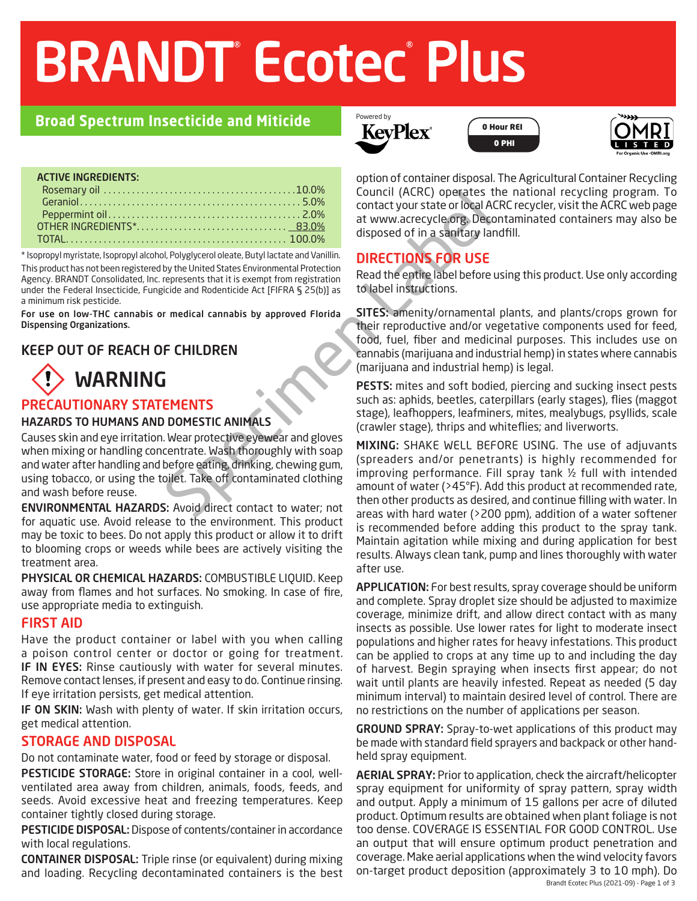# BRANDT<sup>®</sup> Ecotec® Plus

## **Broad Spectrum Insecticide and Miticide**

#### ACTIVE INGREDIENTS:

\* Isopropyl myristate, Isopropyl alcohol, Polyglycerol oleate, Butyl lactate and Vanillin. This product has not been registered by the United States Environmental Protection Agency. BRANDT Consolidated, Inc. represents that it is exempt from registration under the Federal Insecticide, Fungicide and Rodenticide Act [FIFRA § 25(b)] as a minimum risk pesticide.

For use on low-THC cannabis or medical cannabis by approved Florida Dispensing Organizations.

## KEEP OUT OF REACH OF CHILDREN



## PRECAUTIONARY STATEMENTS

#### HAZARDS TO HUMANS AND DOMESTIC ANIMALS

Spect the term of the term of the term of the term of the term of the term of the term of the term of the term of the term of the term of the term of the term of the term of the term of the term of the term of the term of Causes skin and eye irritation. Wear protective eyewear and gloves when mixing or handling concentrate. Wash thoroughly with soap and water after handling and before eating, drinking, chewing gum, using tobacco, or using the toilet. Take off contaminated clothing and wash before reuse.

ENVIRONMENTAL HAZARDS: Avoid direct contact to water; not for aquatic use. Avoid release to the environment. This product may be toxic to bees. Do not apply this product or allow it to drift to blooming crops or weeds while bees are actively visiting the treatment area.

PHYSICAL OR CHEMICAL HAZARDS: COMBUSTIBLE LIQUID. Keep away from flames and hot surfaces. No smoking. In case of fire, use appropriate media to extinguish.

### FIRST AID

Have the product container or label with you when calling a poison control center or doctor or going for treatment. IF IN EYES: Rinse cautiously with water for several minutes. Remove contact lenses, if present and easy to do. Continue rinsing. If eye irritation persists, get medical attention.

IF ON SKIN: Wash with plenty of water. If skin irritation occurs, get medical attention.

### STORAGE AND DISPOSAL

Do not contaminate water, food or feed by storage or disposal.

PESTICIDE STORAGE: Store in original container in a cool, wellventilated area away from children, animals, foods, feeds, and seeds. Avoid excessive heat and freezing temperatures. Keep container tightly closed during storage.

PESTICIDE DISPOSAL: Dispose of contents/container in accordance with local regulations.

CONTAINER DISPOSAL: Triple rinse (or equivalent) during mixing and loading. Recycling decontaminated containers is the best



0 Hour REI 0 PHI



option of container disposal. The Agricultural Container Recycling Council (ACRC) operates the national recycling program. To contact your state or local ACRC recycler, visit the ACRC web page at www.acrecycle.org. Decontaminated containers may also be disposed of in a sanitary landfill.

## DIRECTIONS FOR USE

Read the entire label before using this product. Use only according to label instructions.

SITES: amenity/ornamental plants, and plants/crops grown for their reproductive and/or vegetative components used for feed, food, fuel, fiber and medicinal purposes. This includes use on cannabis (marijuana and industrial hemp) in states where cannabis (marijuana and industrial hemp) is legal.

PESTS: mites and soft bodied, piercing and sucking insect pests such as: aphids, beetles, caterpillars (early stages), flies (maggot stage), leafhoppers, leafminers, mites, mealybugs, psyllids, scale (crawler stage), thrips and whiteflies; and liverworts.

MIXING: SHAKE WELL BEFORE USING. The use of adjuvants (spreaders and/or penetrants) is highly recommended for improving performance. Fill spray tank ½ full with intended amount of water (>45°F). Add this product at recommended rate, then other products as desired, and continue filling with water. In areas with hard water (>200 ppm), addition of a water softener is recommended before adding this product to the spray tank. Maintain agitation while mixing and during application for best results. Always clean tank, pump and lines thoroughly with water after use.

APPLICATION: For best results, spray coverage should be uniform and complete. Spray droplet size should be adjusted to maximize coverage, minimize drift, and allow direct contact with as many insects as possible. Use lower rates for light to moderate insect populations and higher rates for heavy infestations. This product can be applied to crops at any time up to and including the day of harvest. Begin spraying when insects first appear; do not wait until plants are heavily infested. Repeat as needed (5 day minimum interval) to maintain desired level of control. There are no restrictions on the number of applications per season.

GROUND SPRAY: Spray-to-wet applications of this product may be made with standard field sprayers and backpack or other handheld spray equipment.

Brandt Ecotec Plus (2021-09) - Page 1 of 3 AERIAL SPRAY: Prior to application, check the aircraft/helicopter spray equipment for uniformity of spray pattern, spray width and output. Apply a minimum of 15 gallons per acre of diluted product. Optimum results are obtained when plant foliage is not too dense. COVERAGE IS ESSENTIAL FOR GOOD CONTROL. Use an output that will ensure optimum product penetration and coverage. Make aerial applications when the wind velocity favors on-target product deposition (approximately 3 to 10 mph). Do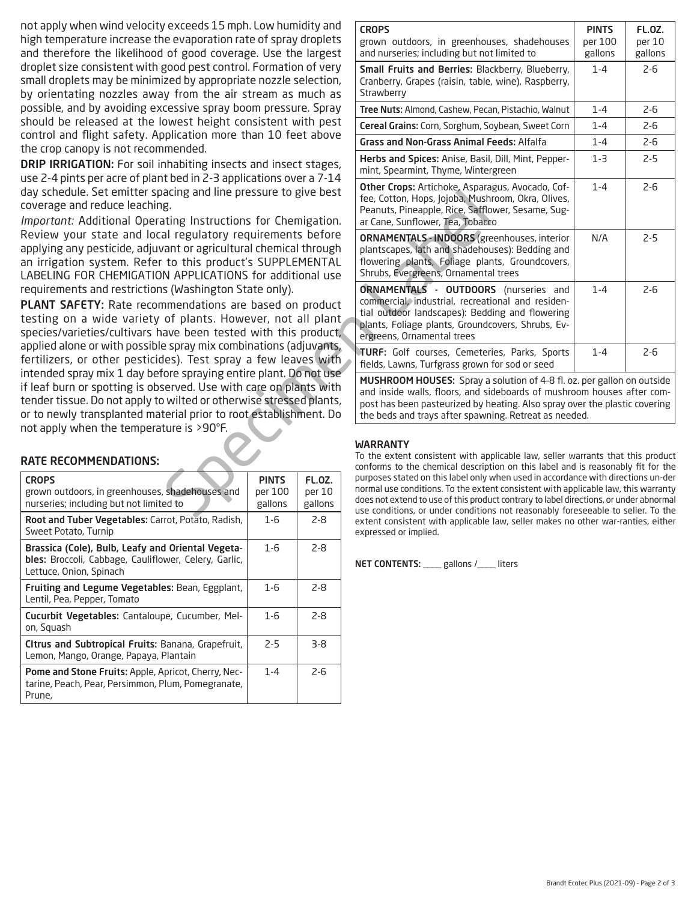not apply when wind velocity exceeds 15 mph. Low humidity and high temperature increase the evaporation rate of spray droplets and therefore the likelihood of good coverage. Use the largest droplet size consistent with good pest control. Formation of very small droplets may be minimized by appropriate nozzle selection, by orientating nozzles away from the air stream as much as possible, and by avoiding excessive spray boom pressure. Spray should be released at the lowest height consistent with pest control and flight safety. Application more than 10 feet above the crop canopy is not recommended.

DRIP IRRIGATION: For soil inhabiting insects and insect stages, use 2-4 pints per acre of plant bed in 2-3 applications over a 7-14 day schedule. Set emitter spacing and line pressure to give best coverage and reduce leaching.

*Important:* Additional Operating Instructions for Chemigation. Review your state and local regulatory requirements before applying any pesticide, adjuvant or agricultural chemical through an irrigation system. Refer to this product's SUPPLEMENTAL LABELING FOR CHEMIGATION APPLICATIONS for additional use requirements and restrictions (Washington State only).

PLANT SAFETY: Rate recommendations are based on product testing on a wide variety of plants. However, not all plant species/varieties/cultivars have been tested with this product, applied alone or with possible spray mix combinations (adjuvants, fertilizers, or other pesticides). Test spray a few leaves with intended spray mix 1 day before spraying entire plant. Do not use if leaf burn or spotting is observed. Use with care on plants with tender tissue. Do not apply to wilted or otherwise stressed plants, or to newly transplanted material prior to root establishment. Do not apply when the temperature is >90°F.

#### RATE RECOMMENDATIONS:

| <b>CROPS</b><br>grown outdoors, in greenhouses, shadehouses and<br>nurseries; including but not limited to                            | <b>PINTS</b><br>per 100<br>gallons | FL.OZ.<br>per 10<br>gallons |
|---------------------------------------------------------------------------------------------------------------------------------------|------------------------------------|-----------------------------|
| Root and Tuber Vegetables: Carrot, Potato, Radish,<br>Sweet Potato, Turnip                                                            | $1-6$                              | $2 - 8$                     |
| Brassica (Cole), Bulb, Leafy and Oriental Vegeta-<br>bles: Broccoli, Cabbage, Cauliflower, Celery, Garlic,<br>Lettuce, Onion, Spinach | $1 - 6$                            | $2 - 8$                     |
| Fruiting and Legume Vegetables: Bean, Eggplant,<br>Lentil, Pea, Pepper, Tomato                                                        | $1 - 6$                            | $2 - 8$                     |
| <b>Cucurbit Vegetables:</b> Cantaloupe, Cucumber, Mel-<br>on, Squash                                                                  | $1 - 6$                            | $2 - 8$                     |
| Citrus and Subtropical Fruits: Banana, Grapefruit,<br>Lemon, Mango, Orange, Papaya, Plantain                                          | $2-5$                              | 3-8                         |
| Pome and Stone Fruits: Apple, Apricot, Cherry, Nec-<br>tarine, Peach, Pear, Persimmon, Plum, Pomegranate,<br>Prune,                   | $1 - 4$                            | $2 - 6$                     |
|                                                                                                                                       |                                    |                             |

| exceeds 15 mph. Low humidity and<br>e evaporation rate of spray droplets<br>of good coverage. Use the largest                                                                                                                                                                                                                                                                                                                                                                                                                                                                                                                                                                                                        |                                    |                             |                                                   | <b>CROPS</b><br>grown outdoors, in greenhouses, shadehouses<br>and nurseries; including but not limited to                                                                                                                                                                                                                                            | <b>PINTS</b><br>per 100<br>gallons | FL.OZ.<br>per 10<br>gallons |
|----------------------------------------------------------------------------------------------------------------------------------------------------------------------------------------------------------------------------------------------------------------------------------------------------------------------------------------------------------------------------------------------------------------------------------------------------------------------------------------------------------------------------------------------------------------------------------------------------------------------------------------------------------------------------------------------------------------------|------------------------------------|-----------------------------|---------------------------------------------------|-------------------------------------------------------------------------------------------------------------------------------------------------------------------------------------------------------------------------------------------------------------------------------------------------------------------------------------------------------|------------------------------------|-----------------------------|
| good pest control. Formation of very<br>ized by appropriate nozzle selection,<br>ly from the air stream as much as                                                                                                                                                                                                                                                                                                                                                                                                                                                                                                                                                                                                   |                                    |                             |                                                   | Small Fruits and Berries: Blackberry, Blueberry,<br>Cranberry, Grapes (raisin, table, wine), Raspberry,<br>Strawberry                                                                                                                                                                                                                                 | $1 - 4$                            | $2 - 6$                     |
| cessive spray boom pressure. Spray                                                                                                                                                                                                                                                                                                                                                                                                                                                                                                                                                                                                                                                                                   |                                    |                             |                                                   | Tree Nuts: Almond, Cashew, Pecan, Pistachio, Walnut                                                                                                                                                                                                                                                                                                   | $1 - 4$                            | $2 - 6$                     |
| owest height consistent with pest<br>pplication more than 10 feet above<br>ımended.                                                                                                                                                                                                                                                                                                                                                                                                                                                                                                                                                                                                                                  |                                    |                             | Cereal Grains: Corn, Sorghum, Soybean, Sweet Corn | $1 - 4$                                                                                                                                                                                                                                                                                                                                               | $2 - 6$                            |                             |
|                                                                                                                                                                                                                                                                                                                                                                                                                                                                                                                                                                                                                                                                                                                      |                                    |                             | <b>Grass and Non-Grass Animal Feeds: Alfalfa</b>  | $1 - 4$                                                                                                                                                                                                                                                                                                                                               | $2 - 6$                            |                             |
| nhabiting insects and insect stages,<br>t bed in 2-3 applications over a 7-14<br>acing and line pressure to give best<br>g.<br>ating Instructions for Chemigation.<br>al regulatory requirements before<br>ant or agricultural chemical through<br>to this product's SUPPLEMENTAL<br>N APPLICATIONS for additional use<br>s (Washington State only).<br>nmendations are based on product<br>of plants. However, not all plant<br>ave been tested with this product,<br>e spray mix combinations (adjuvants,<br>les). Test spray a few leaves with<br>ore spraying entire plant. Do not use<br>served. Use with care on plants with<br>wilted or otherwise stressed plants,<br>terial prior to root establishment. Do |                                    |                             |                                                   | Herbs and Spices: Anise, Basil, Dill, Mint, Pepper-<br>mint, Spearmint, Thyme, Wintergreen                                                                                                                                                                                                                                                            | $1-3$                              | $2 - 5$                     |
|                                                                                                                                                                                                                                                                                                                                                                                                                                                                                                                                                                                                                                                                                                                      |                                    |                             |                                                   | Other Crops: Artichoke, Asparagus, Avocado, Cof-<br>fee, Cotton, Hops, Jojoba, Mushroom, Okra, Olives,<br>Peanuts, Pineapple, Rice, Safflower, Sesame, Sug-<br>ar Cane, Sunflower, Tea, Tobacco                                                                                                                                                       | $1 - 4$                            | $2 - 6$                     |
|                                                                                                                                                                                                                                                                                                                                                                                                                                                                                                                                                                                                                                                                                                                      |                                    |                             |                                                   | <b>ORNAMENTALS - INDOORS</b> (greenhouses, interior<br>plantscapes, lath and shadehouses): Bedding and<br>flowering plants, Foliage plants, Groundcovers,<br>Shrubs, Evergreens, Ornamental trees                                                                                                                                                     | N/A                                | $2 - 5$                     |
|                                                                                                                                                                                                                                                                                                                                                                                                                                                                                                                                                                                                                                                                                                                      |                                    |                             |                                                   | ORNAMENTALS - OUTDOORS (nurseries and<br>commercial, industrial, recreational and residen-<br>tial outdoor landscapes): Bedding and flowering<br>plants, Foliage plants, Groundcovers, Shrubs, Ev-<br>ergreens, Ornamental trees                                                                                                                      | $1 - 4$                            | $2 - 6$                     |
|                                                                                                                                                                                                                                                                                                                                                                                                                                                                                                                                                                                                                                                                                                                      |                                    |                             |                                                   | TURF: Golf courses, Cemeteries, Parks, Sports<br>fields, Lawns, Turfgrass grown for sod or seed                                                                                                                                                                                                                                                       | $1 - 4$                            | $2 - 6$                     |
|                                                                                                                                                                                                                                                                                                                                                                                                                                                                                                                                                                                                                                                                                                                      |                                    |                             |                                                   | MUSHROOM HOUSES: Spray a solution of 4-8 fl. oz. per gallon on outside<br>and inside walls, floors, and sideboards of mushroom houses after com-<br>post has been pasteurized by heating. Also spray over the plastic covering<br>the beds and trays after spawning. Retreat as needed.                                                               |                                    |                             |
| ture is >90°F.                                                                                                                                                                                                                                                                                                                                                                                                                                                                                                                                                                                                                                                                                                       |                                    |                             |                                                   |                                                                                                                                                                                                                                                                                                                                                       |                                    |                             |
|                                                                                                                                                                                                                                                                                                                                                                                                                                                                                                                                                                                                                                                                                                                      |                                    |                             |                                                   | <b>WARRANTY</b><br>To the extent consistent with applicable law, seller warrants that this product<br>conforms to the chemical description on this label and is reasonably fit for the                                                                                                                                                                |                                    |                             |
| shadehouses and<br>ed to                                                                                                                                                                                                                                                                                                                                                                                                                                                                                                                                                                                                                                                                                             | <b>PINTS</b><br>per 100<br>gallons | FL.OZ.<br>per 10<br>gallons |                                                   | purposes stated on this label only when used in accordance with directions un-der<br>normal use conditions. To the extent consistent with applicable law, this warranty<br>does not extend to use of this product contrary to label directions, or under abnormal<br>use conditions, or under conditions not reasonably foreseeable to seller. To the |                                    |                             |
| rot Dotate Dadich                                                                                                                                                                                                                                                                                                                                                                                                                                                                                                                                                                                                                                                                                                    | 1 <sup>C</sup>                     | ם כ                         |                                                   |                                                                                                                                                                                                                                                                                                                                                       |                                    |                             |

#### WARRANTY

To the extent consistent with applicable law, seller warrants that this product conforms to the chemical description on this label and is reasonably fit for the purposes stated on this label only when used in accordance with directions un-der normal use conditions. To the extent consistent with applicable law, this warranty does not extend to use of this product contrary to label directions, or under abnormal use conditions, or under conditions not reasonably foreseeable to seller. To the extent consistent with applicable law, seller makes no other war-ranties, either expressed or implied.

NET CONTENTS: \_\_\_\_ gallons /\_\_\_\_ liters